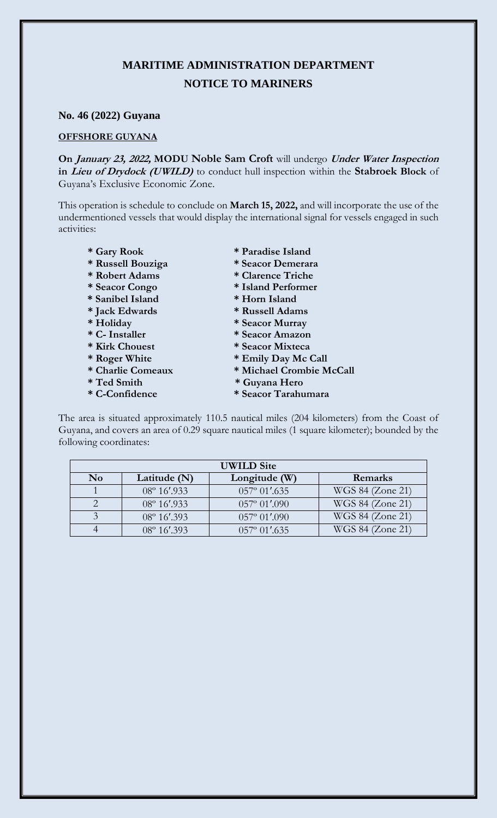## **MARITIME ADMINISTRATION DEPARTMENT NOTICE TO MARINERS**

## **No. 46 (2022) Guyana**

## **OFFSHORE GUYANA**

**On January 23, 2022, MODU Noble Sam Croft** will undergo **Under Water Inspection in Lieu of Drydock (UWILD)** to conduct hull inspection within the **Stabroek Block** of Guyana's Exclusive Economic Zone.

This operation is schedule to conclude on **March 15, 2022,** and will incorporate the use of the undermentioned vessels that would display the international signal for vessels engaged in such activities:

- 
- $*$  Russell Bouziga
- 
- 
- **\* Sanibel Island \* Horn Island**
- $*$  Jack Edwards
- 
- 
- 
- 
- 
- 
- 
- \* Gary Rook \* Paradise Island<br>\* Russell Bouziga \* Seacor Demerara
	-
- **\* Robert Adams \* Clarence Triche** 
	- **\* Seacor Congo \* Island Performer**
	-
	-
- **\* Holiday \* Seacor Murray**
- **\* C- Installer \* Seacor Amazon**
	-
- **\* Kirk Chouest \* Seacor Mixteca**
- \* Roger White \* Emily Day Mc Call<br>\* Charlie Comeaux \* Michael Crombie M  $*$  Michael Crombie McCall
- **\* Ted Smith \* Guyana Hero**
- **\* C-Confidence \* Seacor Tarahumara**

The area is situated approximately 110.5 nautical miles (204 kilometers) from the Coast of Guyana, and covers an area of 0.29 square nautical miles (1 square kilometer); bounded by the following coordinates:

| <b>UWILD Site</b> |                       |                        |                  |
|-------------------|-----------------------|------------------------|------------------|
| N <sub>0</sub>    | Latitude $(N)$        | Longitude (W)          | Remarks          |
|                   | $08^{\circ} 16'$ .933 | $057^{\circ}$ 01'.635  | WGS 84 (Zone 21) |
|                   | 08° 16'.933           | $057^{\circ} 01'$ .090 | WGS 84 (Zone 21) |
|                   | 08° 16'.393           | $057^{\circ} 01'$ .090 | WGS 84 (Zone 21) |
|                   | 08° 16'.393           | $057^{\circ}$ 01'.635  | WGS 84 (Zone 21) |